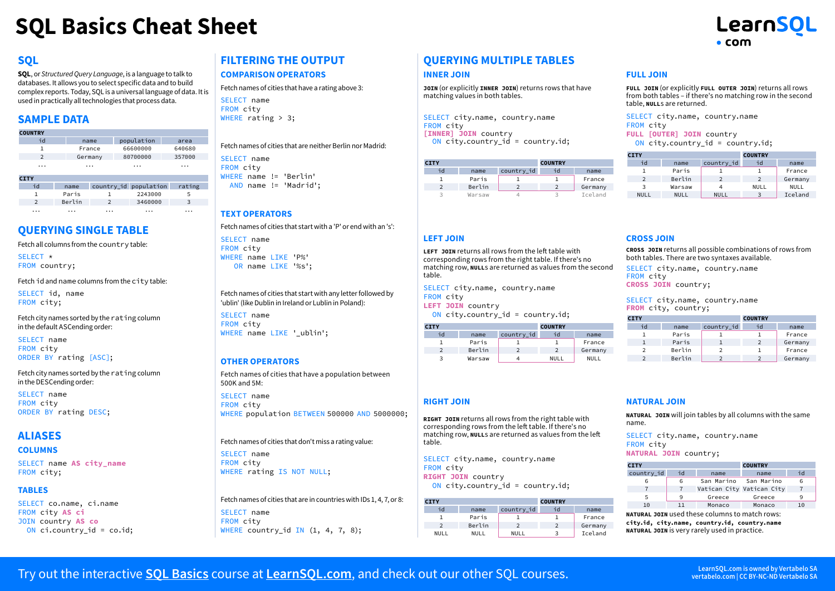# **SQL Basics Cheat Sheet**



# **SQL**

**SQL**, or *Structured Query Language*, is a language to talk to databases. It allows you to select specific data and to build complex reports. Today, SQL is a universal language of data. It is used in practically all technologies that process data.

# **SAMPLE DATA**

| <b>COUNTRY</b> |        |                |                       |        |
|----------------|--------|----------------|-----------------------|--------|
| id             |        | name           | population            | area   |
| 1              |        | France         | 66600000              | 640680 |
| $\overline{2}$ |        | Germany        | 80700000              | 357000 |
| .              |        | .              | .                     |        |
| <b>CITY</b>    |        |                |                       |        |
| id             | name   |                | country_id population | rating |
| 1              | Paris  | 1              | 2243000               | 5      |
| $\overline{2}$ | Berlin | $\overline{2}$ | 3460000               | 3      |
|                |        |                |                       |        |

# **QUERYING SINGLE TABLE**

Fetch all columns from the country table:

SELECT<sub>\*</sub> FROM country;

Fetch id and name columns from the city table:

SELECT id, name FROM city;

Fetch city names sorted by the rating column in the default ASCending order:

SELECT name FROM city ORDER BY rating [ASC];

Fetch city names sorted by the rating column in the DESCending order:

SELECT name FROM city ORDER BY rating DESC;

# **ALIASES**

#### **COLUMNS**

SELECT name **AS city\_name** FROM city;

#### **TABLES**

SELECT co.name, ci.name FROM city **AS ci** JOIN country **AS co** ON ci.country id = co.id;

# **FILTERING THE OUTPUT**

#### **COMPARISON OPERATORS**

SELECT name FROM city Fetch names of cities that have a rating above 3:

WHERE rating > 3;

SELECT name FROM city WHERE name != 'Berlin' AND name != 'Madrid'; Fetch names of cities that are neither Berlin nor Madrid:

### **TEXT OPERATORS**

Fetch names of cities that start with a 'P' or end with an 's':

SELECT name FROM city WHERE name LIKE 'P%' OR name LIKE '%s';

Fetch names of cities that start with any letter followed by 'ublin' (like Dublin in Ireland or Lublin in Poland):

SELECT name FROM city WHERE name LIKE ' ublin';

### **OTHER OPERATORS**

Fetch names of cities that have a population between 500K and 5M:

SELECT name FROM city WHERE population BETWEEN 500000 AND 5000000;

Fetch names of cities that don't miss a rating value:

SELECT name FROM city WHERE rating IS NOT NULL;

| Fetch names of cities that are in countries with IDs 1, 4, 7, or 8: |  |  |  |
|---------------------------------------------------------------------|--|--|--|
| SELECT name                                                         |  |  |  |
| FROM city                                                           |  |  |  |
| WHERE country_id $IN(1, 4, 7, 8);$                                  |  |  |  |

# **QUERYING MULTIPLE TABLES**

#### **INNER JOIN**

**LEFT JOIN**

FROM city

**RIGHT JOIN**

FROM city

**CITY**

table.

**RIGHT JOIN** country

**CITY**

table.

**LEFT JOIN** country

**JOIN** (or explicitly **INNER JOIN**) returns rows that have matching values in both tables.

SELECT city.name, country.name FROM city **[INNER] JOIN** country ON city.country\_id = country.id;

SELECT city.name, country.name

id name country\_id<br>1 Paris 1 Paris  $\boxed{1}$ 

SELECT city.name, country.name

id name country\_id 1 Paris 1<br>2 Berlin 2

2 Berlin 2 NULL NULL NULL

ON city.country  $id = country.id;$ 

**RIGHT JOIN** returns all rows from the right table with corresponding rows from the left table. If there's no matching row, **NULL**s are returned as values from the left

2 Berlin 2<br>3 Warsaw 4 **Warsaw** 

ON city.country  $id = country.id;$ 

**LEFT JOIN** returns all rows from the left table with corresponding rows from the right table. If there's no matching row, **NULL**s are returned as values from the second

**COUNTRY**

**COUNTRY**

id name 1 France 2 Germany 3 Iceland

id name<br>1 France **France** 

2 Germany NULL NULL

| <b>CITY</b> |        |            | <b>COUNTRY</b> |         |
|-------------|--------|------------|----------------|---------|
| id          | name   | country id | ٦d             | name    |
|             | Paris  |            |                | France  |
| っ           | Berlin |            |                | Germany |
| 3           | Warsaw |            | 3              | Iceland |

#### **FULL JOIN**

**FULL JOIN** (or explicitly **FULL OUTER JOIN**) returns all rows from both tables – if there's no matching row in the second table, **NULL**s are returned.

SELECT city.name, country.name FROM city **FULL [OUTER] JOIN** country ON city.country\_id = country.id;

| <b>CITY</b>   |             |               | <b>COUNTRY</b> |             |
|---------------|-------------|---------------|----------------|-------------|
| id            | name        | country id    | id             | name        |
|               | Paris       |               |                | France      |
| $\mathcal{P}$ | Berlin      | $\mathcal{P}$ | $\mathcal{P}$  | Germany     |
| 3             | Warsaw      |               | <b>NULL</b>    | <b>NULL</b> |
| <b>NULL</b>   | <b>NULL</b> | NULL          | 3              | Iceland     |

### **CROSS JOIN**

**CROSS JOIN** returns all possible combinations of rows from both tables. There are two syntaxes available.

SELECT city.name, country.name FROM city **CROSS JOIN** country;

SELECT city.name, country.name **FROM** city, country;

| <b>CITY</b>   |        |            | <b>COUNTRY</b> |         |
|---------------|--------|------------|----------------|---------|
| id            | name   | country_id | id             | name    |
|               | Paris  |            |                | France  |
|               | Paris  |            | $\mathcal{P}$  | Germany |
| $\mathcal{P}$ | Berlin |            |                | France  |
|               | Berlin |            |                | Germany |

#### **NATURAL JOIN**

**NATURAL JOIN** will join tables by all columns with the same name.

SELECT city.name, country.name FROM city **NATURAL JOIN** country;

| <b>CITY</b> |    |            | <b>COUNTRY</b>            |    |
|-------------|----|------------|---------------------------|----|
| country id  | id | name       | name                      | id |
| 6           | 6  | San Marino | San Marino                | 6  |
|             |    |            | Vatican City Vatican City |    |
| 5           | 9  | Greece     | Greece                    | ۹  |
| 10          | 11 | Monaco     | Monaco                    | 10 |

**NATURAL JOIN** used these columns to match rows: **city.id, city.name, country.id, country.name NATURAL JOIN** is very rarely used in practice.